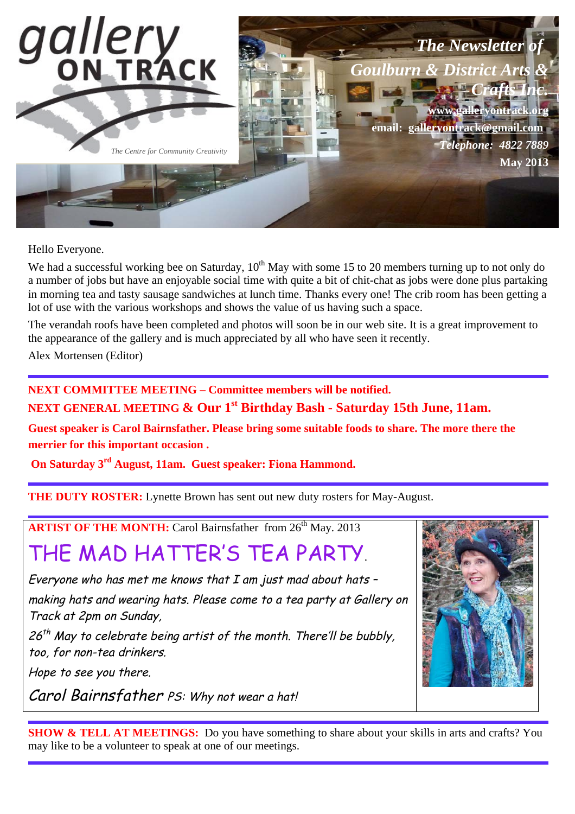

Hello Everyone.

We had a successful working bee on Saturday,  $10^{th}$  May with some 15 to 20 members turning up to not only do a number of jobs but have an enjoyable social time with quite a bit of chit-chat as jobs were done plus partaking in morning tea and tasty sausage sandwiches at lunch time. Thanks every one! The crib room has been getting a lot of use with the various workshops and shows the value of us having such a space.

The verandah roofs have been completed and photos will soon be in our web site. It is a great improvement to the appearance of the gallery and is much appreciated by all who have seen it recently.

Alex Mortensen (Editor)

**NEXT COMMITTEE MEETING – Committee members will be notified.**

**NEXT GENERAL MEETING & Our 1st Birthday Bash - Saturday 15th June, 11am.** 

**Guest speaker is Carol Bairnsfather. Please bring some suitable foods to share. The more there the merrier for this important occasion .** 

 **On Saturday 3rd August, 11am. Guest speaker: Fiona Hammond.**

**THE DUTY ROSTER:** Lynette Brown has sent out new duty rosters for May-August.

**ARTIST OF THE MONTH:** Carol Bairnsfather from 26<sup>th</sup> May. 2013

# THE MAD HATTER'S TEA PARTY.

Everyone who has met me knows that  $I$  am just mad about hats  $\sim$ making hats and wearing hats. Please come to a tea party at Gallery on Track at 2pm on Sunday,

 $26<sup>th</sup>$  May to celebrate being artist of the month. There'll be bubbly, too, for non-tea drinkers.

Hope to see you there.

Carol Bairnsfather PS: Why not wear a hat!



**SHOW & TELL AT MEETINGS:** Do you have something to share about your skills in arts and crafts? You may like to be a volunteer to speak at one of our meetings.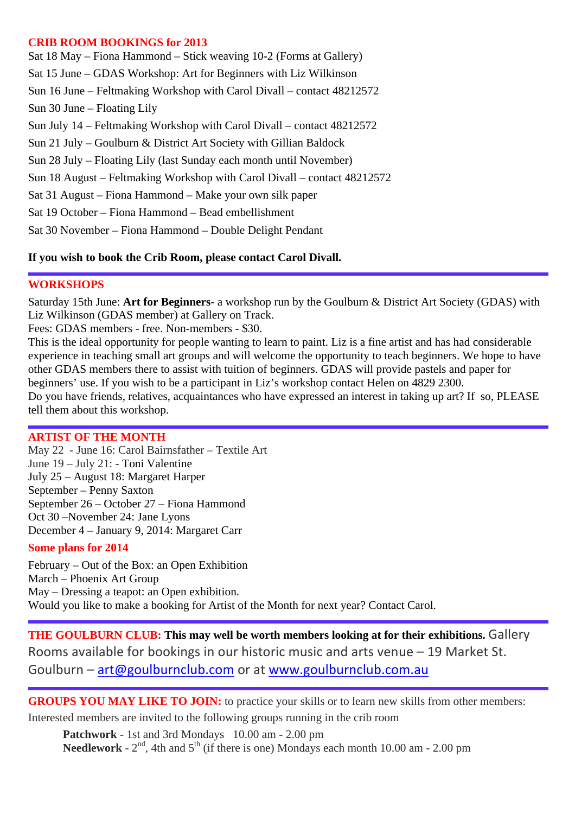#### **CRIB ROOM BOOKINGS for 2013**

| Sat 18 May – Fiona Hammond – Stick weaving 10-2 (Forms at Gallery)       |
|--------------------------------------------------------------------------|
| Sat 15 June – GDAS Workshop: Art for Beginners with Liz Wilkinson        |
| Sun 16 June – Feltmaking Workshop with Carol Divall – contact 48212572   |
| $Sun 30 June - Floating Lily$                                            |
| Sun July 14 – Feltmaking Workshop with Carol Divall – contact 48212572   |
| Sun 21 July – Goulburn & District Art Society with Gillian Baldock       |
| Sun 28 July – Floating Lily (last Sunday each month until November)      |
| Sun 18 August – Feltmaking Workshop with Carol Divall – contact 48212572 |
| Sat 31 August – Fiona Hammond – Make your own silk paper                 |
| Sat 19 October – Fiona Hammond – Bead embellishment                      |
| Sat 30 November – Fiona Hammond – Double Delight Pendant                 |
|                                                                          |

### **If you wish to book the Crib Room, please contact Carol Divall.**

#### **WORKSHOPS**

Saturday 15th June: **Art for Beginners**- a workshop run by the Goulburn & District Art Society (GDAS) with Liz Wilkinson (GDAS member) at Gallery on Track.

Fees: GDAS members - free. Non-members - \$30.

This is the ideal opportunity for people wanting to learn to paint. Liz is a fine artist and has had considerable experience in teaching small art groups and will welcome the opportunity to teach beginners. We hope to have other GDAS members there to assist with tuition of beginners. GDAS will provide pastels and paper for beginners' use. If you wish to be a participant in Liz's workshop contact Helen on 4829 2300. Do you have friends, relatives, acquaintances who have expressed an interest in taking up art? If so, PLEASE tell them about this workshop.

## **ARTIST OF THE MONTH**

May 22 - June 16: Carol Bairnsfather – Textile Art June 19 – July 21: - Toni Valentine July 25 – August 18: Margaret Harper September – Penny Saxton September 26 – October 27 – Fiona Hammond Oct 30 –November 24: Jane Lyons December 4 – January 9, 2014: Margaret Carr

#### **Some plans for 2014**

February – Out of the Box: an Open Exhibition March – Phoenix Art Group May – Dressing a teapot: an Open exhibition. Would you like to make a booking for Artist of the Month for next year? Contact Carol.

**THE GOULBURN CLUB: This may well be worth members looking at for their exhibitions. Gallery** Rooms available for bookings in our historic music and arts venue - 19 Market St. Goulburn - art@goulburnclub.com or at www.goulburnclub.com.au

GROUPS YOU MAY LIKE TO JOIN: to practice your skills or to learn new skills from other members:

Interested members are invited to the following groups running in the crib room

**Patchwork** - 1st and 3rd Mondays 10.00 am - 2.00 pm **Needlework** -  $2<sup>nd</sup>$ , 4th and  $5<sup>th</sup>$  (if there is one) Mondays each month 10.00 am - 2.00 pm